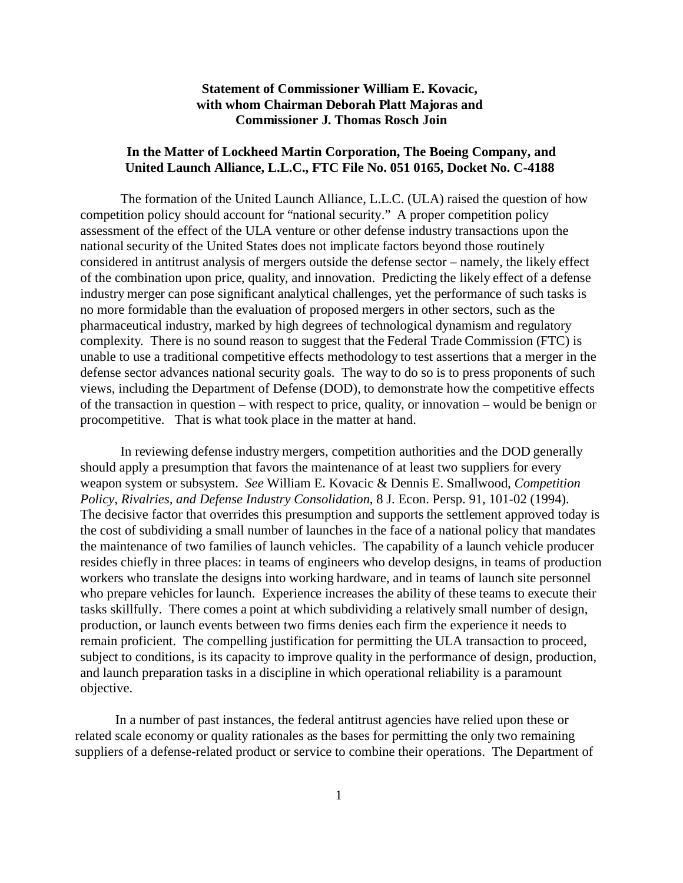## **Statement of Commissioner William E. Kovacic, with whom Chairman Deborah Platt Majoras and Commissioner J. Thomas Rosch Join**

## **In the Matter of Lockheed Martin Corporation, The Boeing Company, and United Launch Alliance, L.L.C., FTC File No. 051 0165, Docket No. C-4188**

The formation of the United Launch Alliance, L.L.C. (ULA) raised the question of how competition policy should account for "national security." A proper competition policy assessment of the effect of the ULA venture or other defense industry transactions upon the national security of the United States does not implicate factors beyond those routinely considered in antitrust analysis of mergers outside the defense sector – namely, the likely effect of the combination upon price, quality, and innovation. Predicting the likely effect of a defense industry merger can pose significant analytical challenges, yet the performance of such tasks is no more formidable than the evaluation of proposed mergers in other sectors, such as the pharmaceutical industry, marked by high degrees of technological dynamism and regulatory complexity. There is no sound reason to suggest that the Federal Trade Commission (FTC) is unable to use a traditional competitive effects methodology to test assertions that a merger in the defense sector advances national security goals. The way to do so is to press proponents of such views, including the Department of Defense (DOD), to demonstrate how the competitive effects of the transaction in question – with respect to price, quality, or innovation – would be benign or procompetitive. That is what took place in the matter at hand.

In reviewing defense industry mergers, competition authorities and the DOD generally should apply a presumption that favors the maintenance of at least two suppliers for every weapon system or subsystem. *See* William E. Kovacic & Dennis E. Smallwood, *Competition Policy, Rivalries, and Defense Industry Consolidation*, 8 J. Econ. Persp. 91, 101-02 (1994). The decisive factor that overrides this presumption and supports the settlement approved today is the cost of subdividing a small number of launches in the face of a national policy that mandates the maintenance of two families of launch vehicles. The capability of a launch vehicle producer resides chiefly in three places: in teams of engineers who develop designs, in teams of production workers who translate the designs into working hardware, and in teams of launch site personnel who prepare vehicles for launch. Experience increases the ability of these teams to execute their tasks skillfully. There comes a point at which subdividing a relatively small number of design, production, or launch events between two firms denies each firm the experience it needs to remain proficient. The compelling justification for permitting the ULA transaction to proceed, subject to conditions, is its capacity to improve quality in the performance of design, production, and launch preparation tasks in a discipline in which operational reliability is a paramount objective.

In a number of past instances, the federal antitrust agencies have relied upon these or related scale economy or quality rationales as the bases for permitting the only two remaining suppliers of a defense-related product or service to combine their operations. The Department of